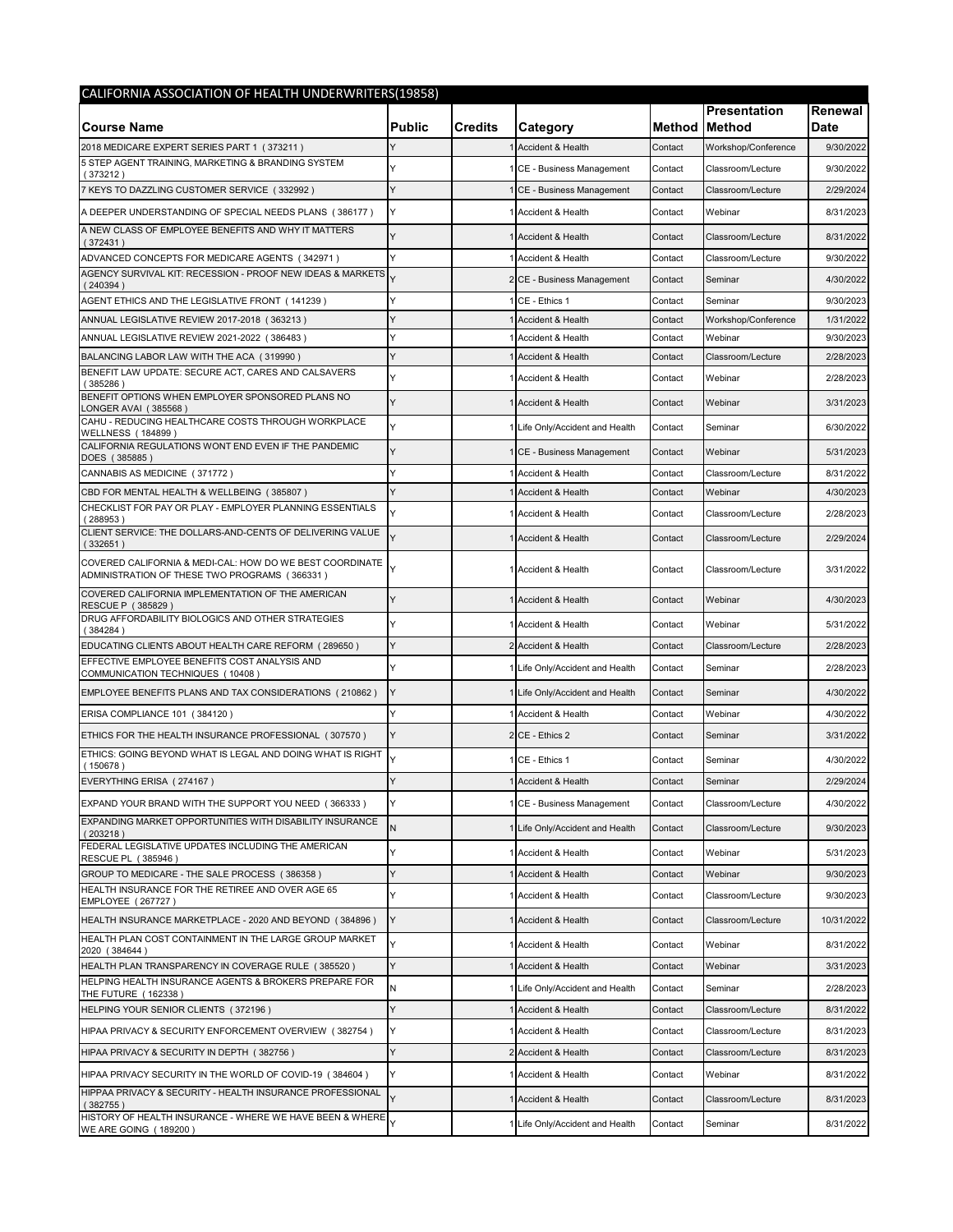| CALIFORNIA ASSOCIATION OF HEALTH UNDERWRITERS(19858)                                                      |               |                |                                 |         |                                      |                 |  |  |
|-----------------------------------------------------------------------------------------------------------|---------------|----------------|---------------------------------|---------|--------------------------------------|-----------------|--|--|
| <b>Course Name</b>                                                                                        | <b>Public</b> | <b>Credits</b> | Category                        |         | Presentation<br><b>Method Method</b> | Renewal<br>Date |  |  |
| 2018 MEDICARE EXPERT SERIES PART 1 (373211)                                                               |               |                | Accident & Health               | Contact | Workshop/Conference                  | 9/30/2022       |  |  |
| 5 STEP AGENT TRAINING, MARKETING & BRANDING SYSTEM<br>(373212)                                            |               |                | CE - Business Management        | Contact | Classroom/Lecture                    | 9/30/2022       |  |  |
| 7 KEYS TO DAZZLING CUSTOMER SERVICE (332992)                                                              | Y             |                | CE - Business Management        | Contact | Classroom/Lecture                    | 2/29/2024       |  |  |
| A DEEPER UNDERSTANDING OF SPECIAL NEEDS PLANS (386177)                                                    | Y             |                | Accident & Health               | Contact | Webinar                              | 8/31/2023       |  |  |
| A NEW CLASS OF EMPLOYEE BENEFITS AND WHY IT MATTERS<br>(372431)                                           |               |                | Accident & Health               | Contact | Classroom/Lecture                    | 8/31/2022       |  |  |
| ADVANCED CONCEPTS FOR MEDICARE AGENTS (342971)                                                            | Y             |                | Accident & Health               | Contact | Classroom/Lecture                    | 9/30/2022       |  |  |
| AGENCY SURVIVAL KIT: RECESSION - PROOF NEW IDEAS & MARKETS<br>(240394)                                    |               |                | 2 CE - Business Management      | Contact | Seminar                              | 4/30/2022       |  |  |
| AGENT ETHICS AND THE LEGISLATIVE FRONT (141239)                                                           | Υ             |                | CE - Ethics 1                   | Contact | Seminar                              | 9/30/2023       |  |  |
| ANNUAL LEGISLATIVE REVIEW 2017-2018 (363213)                                                              | Y             |                | <b>Accident &amp; Health</b>    | Contact | Workshop/Conference                  | 1/31/2022       |  |  |
| ANNUAL LEGISLATIVE REVIEW 2021-2022 (386483)                                                              | Υ             |                | <b>Accident &amp; Health</b>    | Contact | Webinar                              | 9/30/2023       |  |  |
| BALANCING LABOR LAW WITH THE ACA (319990)                                                                 | Υ             |                | <b>Accident &amp; Health</b>    | Contact | Classroom/Lecture                    | 2/28/2023       |  |  |
| BENEFIT LAW UPDATE: SECURE ACT, CARES AND CALSAVERS<br>(385286)                                           | ٧             |                | Accident & Health               | Contact | Webinar                              | 2/28/2023       |  |  |
| BENEFIT OPTIONS WHEN EMPLOYER SPONSORED PLANS NO<br>LONGER AVAI (385568                                   | Ÿ             |                | Accident & Health               | Contact | Webinar                              | 3/31/2023       |  |  |
| CAHU - REDUCING HEALTHCARE COSTS THROUGH WORKPLACE<br><b>WELLNESS (184899)</b>                            |               |                | Life Only/Accident and Health   | Contact | Seminar                              | 6/30/2022       |  |  |
| CALIFORNIA REGULATIONS WONT END EVEN IF THE PANDEMIC<br>DOES (385885)                                     |               |                | CE - Business Management        | Contact | Webinar                              | 5/31/2023       |  |  |
| CANNABIS AS MEDICINE (371772)                                                                             | Y             |                | Accident & Health               | Contact | Classroom/Lecture                    | 8/31/2022       |  |  |
| CBD FOR MENTAL HEALTH & WELLBEING (385807)                                                                | Y             |                | Accident & Health               | Contact | Webinar                              | 4/30/2023       |  |  |
| CHECKLIST FOR PAY OR PLAY - EMPLOYER PLANNING ESSENTIALS<br>(288953)                                      |               |                | Accident & Health               | Contact | Classroom/Lecture                    | 2/28/2023       |  |  |
| CLIENT SERVICE: THE DOLLARS-AND-CENTS OF DELIVERING VALUE<br>(332651)                                     |               |                | 1 Accident & Health             | Contact | Classroom/Lecture                    | 2/29/2024       |  |  |
| COVERED CALIFORNIA & MEDI-CAL: HOW DO WE BEST COORDINATE<br>ADMINISTRATION OF THESE TWO PROGRAMS (366331) |               |                | 1 Accident & Health             | Contact | Classroom/Lecture                    | 3/31/2022       |  |  |
| COVERED CALIFORNIA IMPLEMENTATION OF THE AMERICAN<br>RESCUE P (385829)                                    |               |                | Accident & Health               | Contact | Webinar                              | 4/30/2023       |  |  |
| DRUG AFFORDABILITY BIOLOGICS AND OTHER STRATEGIES<br>(384284)                                             |               |                | Accident & Health               | Contact | Webinar                              | 5/31/2022       |  |  |
| EDUCATING CLIENTS ABOUT HEALTH CARE REFORM (289650)                                                       | Y             |                | Accident & Health               | Contact | Classroom/Lecture                    | 2/28/2023       |  |  |
| EFFECTIVE EMPLOYEE BENEFITS COST ANALYSIS AND<br>COMMUNICATION TECHNIQUES (10408)                         | Υ             |                | Life Only/Accident and Health   | Contact | Seminar                              | 2/28/2023       |  |  |
| EMPLOYEE BENEFITS PLANS AND TAX CONSIDERATIONS (210862)                                                   | Y             |                | Life Only/Accident and Health   | Contact | Seminar                              | 4/30/2022       |  |  |
| ERISA COMPLIANCE 101 (384120)                                                                             |               |                | Accident & Health               | Contact | Webinar                              | 4/30/2022       |  |  |
| ETHICS FOR THE HEALTH INSURANCE PROFESSIONAL (307570)                                                     | Y             |                | 2 CE - Ethics 2                 | Contact | Seminar                              | 3/31/2022       |  |  |
| ETHICS: GOING BEYOND WHAT IS LEGAL AND DOING WHAT IS RIGHT<br>(150678)                                    |               |                | CE - Ethics 1                   | Contact | Seminar                              | 4/30/2022       |  |  |
| EVERYTHING ERISA (274167)                                                                                 | Y             |                | Accident & Health               | Contact | Seminar                              | 2/29/2024       |  |  |
| EXPAND YOUR BRAND WITH THE SUPPORT YOU NEED (366333)                                                      | Y             |                | CE - Business Management        | Contact | Classroom/Lecture                    | 4/30/2022       |  |  |
| EXPANDING MARKET OPPORTUNITIES WITH DISABILITY INSURANCE<br>(203218)                                      | N             |                | 1 Life Only/Accident and Health | Contact | Classroom/Lecture                    | 9/30/2023       |  |  |
| FEDERAL LEGISLATIVE UPDATES INCLUDING THE AMERICAN<br>RESCUE PL (385946)                                  |               |                | Accident & Health               | Contact | Webinar                              | 5/31/2023       |  |  |
| GROUP TO MEDICARE - THE SALE PROCESS (386358)                                                             | Υ             |                | Accident & Health               | Contact | Webinar                              | 9/30/2023       |  |  |
| HEALTH INSURANCE FOR THE RETIREE AND OVER AGE 65                                                          | Υ             |                | Accident & Health               | Contact | Classroom/Lecture                    | 9/30/2023       |  |  |
| <b>EMPLOYEE (267727)</b><br>HEALTH INSURANCE MARKETPLACE - 2020 AND BEYOND (384896)                       | Y             |                | Accident & Health               | Contact | Classroom/Lecture                    | 10/31/2022      |  |  |
| HEALTH PLAN COST CONTAINMENT IN THE LARGE GROUP MARKET<br>2020 (384644)                                   |               |                | Accident & Health               | Contact | Webinar                              | 8/31/2022       |  |  |
| HEALTH PLAN TRANSPARENCY IN COVERAGE RULE (385520)                                                        | Y             |                | Accident & Health               | Contact | Webinar                              | 3/31/2023       |  |  |
| HELPING HEALTH INSURANCE AGENTS & BROKERS PREPARE FOR                                                     | N             |                | Life Only/Accident and Health   | Contact | Seminar                              | 2/28/2023       |  |  |
| THE FUTURE (162338)<br>HELPING YOUR SENIOR CLIENTS (372196)                                               | Y             |                | Accident & Health               | Contact | Classroom/Lecture                    | 8/31/2022       |  |  |
| HIPAA PRIVACY & SECURITY ENFORCEMENT OVERVIEW (382754)                                                    | Y             |                | Accident & Health               | Contact | Classroom/Lecture                    | 8/31/2023       |  |  |
| HIPAA PRIVACY & SECURITY IN DEPTH (382756)                                                                | Y             |                | 2 Accident & Health             | Contact | Classroom/Lecture                    | 8/31/2023       |  |  |
| HIPAA PRIVACY SECURITY IN THE WORLD OF COVID-19 (384604)                                                  | Y             |                | Accident & Health               | Contact | Webinar                              | 8/31/2022       |  |  |
| HIPPAA PRIVACY & SECURITY - HEALTH INSURANCE PROFESSIONAL                                                 |               |                | 1 Accident & Health             | Contact | Classroom/Lecture                    | 8/31/2023       |  |  |
| (382755)<br>HISTORY OF HEALTH INSURANCE - WHERE WE HAVE BEEN & WHERE                                      |               |                |                                 |         |                                      | 8/31/2022       |  |  |
| WE ARE GOING (189200)                                                                                     |               |                | Life Only/Accident and Health   | Contact | Seminar                              |                 |  |  |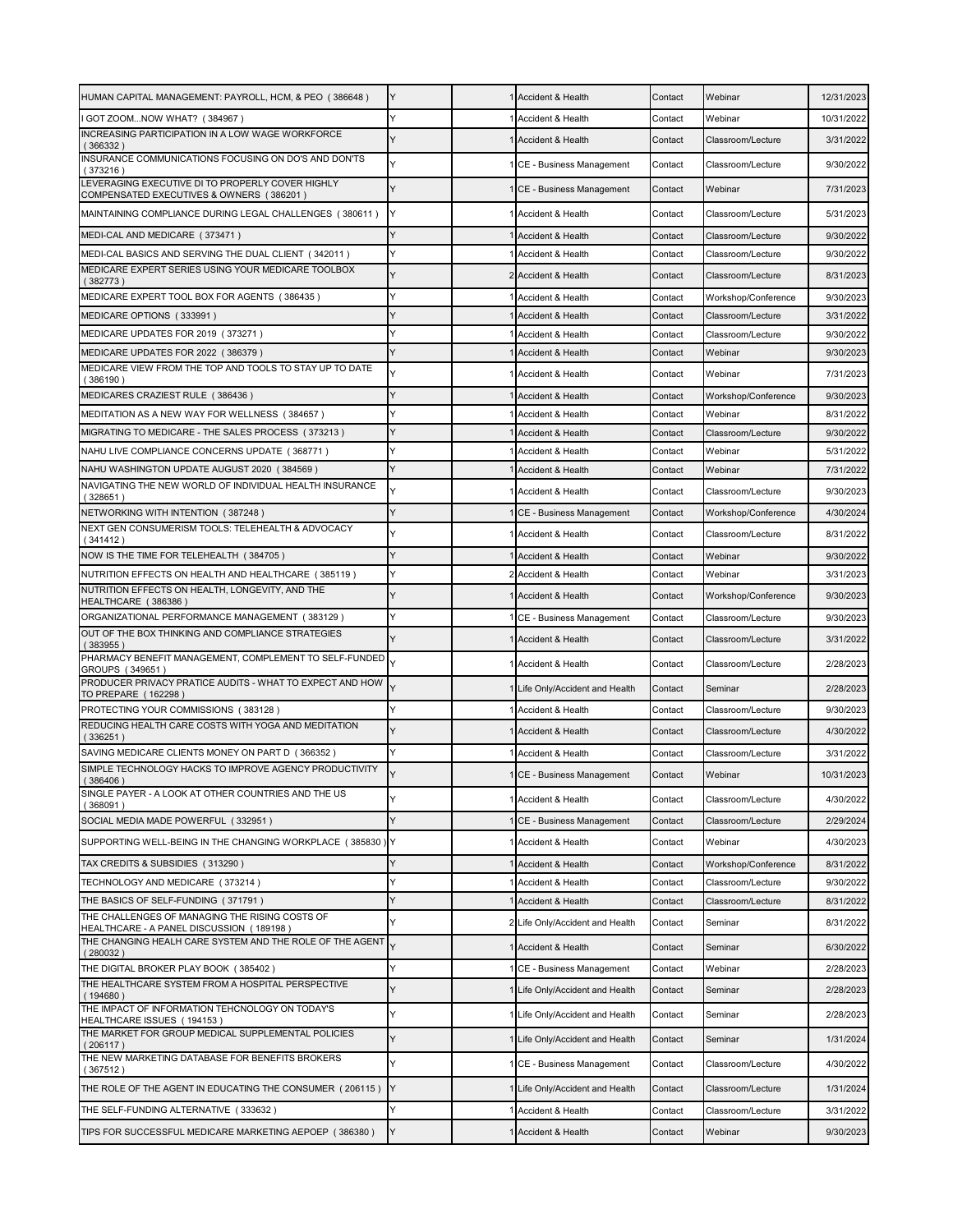| HUMAN CAPITAL MANAGEMENT: PAYROLL, HCM, & PEO (386648)                                               | Y | Accident & Health               | Contact | Webinar             | 12/31/2023 |
|------------------------------------------------------------------------------------------------------|---|---------------------------------|---------|---------------------|------------|
| I GOT ZOOMNOW WHAT? (384967)                                                                         | Y | Accident & Health               | Contact | Webinar             | 10/31/2022 |
| INCREASING PARTICIPATION IN A LOW WAGE WORKFORCE<br>(366332)                                         |   | 1 Accident & Health             | Contact | Classroom/Lecture   | 3/31/2022  |
| INSURANCE COMMUNICATIONS FOCUSING ON DO'S AND DON'TS<br>(373216)                                     | Y | CE - Business Management        | Contact | Classroom/Lecture   | 9/30/2022  |
| LEVERAGING EXECUTIVE DI TO PROPERLY COVER HIGHLY<br>COMPENSATED EXECUTIVES & OWNERS (386201)         |   | CE - Business Management        | Contact | Webinar             | 7/31/2023  |
| MAINTAINING COMPLIANCE DURING LEGAL CHALLENGES (380611)                                              | Y | Accident & Health               | Contact | Classroom/Lecture   | 5/31/2023  |
| MEDI-CAL AND MEDICARE (373471)                                                                       |   | Accident & Health               | Contact | Classroom/Lecture   | 9/30/2022  |
| MEDI-CAL BASICS AND SERVING THE DUAL CLIENT (342011)                                                 | Y | Accident & Health               | Contact | Classroom/Lecture   | 9/30/2022  |
| MEDICARE EXPERT SERIES USING YOUR MEDICARE TOOLBOX<br>(382773)                                       | Y | 2 Accident & Health             | Contact | Classroom/Lecture   | 8/31/2023  |
| MEDICARE EXPERT TOOL BOX FOR AGENTS (386435)                                                         |   | Accident & Health               | Contact | Workshop/Conference | 9/30/2023  |
| MEDICARE OPTIONS (333991)                                                                            |   | Accident & Health               | Contact | Classroom/Lecture   | 3/31/2022  |
| MEDICARE UPDATES FOR 2019 (373271)                                                                   |   | Accident & Health               | Contact | Classroom/Lecture   | 9/30/2022  |
| MEDICARE UPDATES FOR 2022 (386379)                                                                   |   | Accident & Health               | Contact | Webinar             | 9/30/2023  |
| MEDICARE VIEW FROM THE TOP AND TOOLS TO STAY UP TO DATE<br>(386190)                                  |   | Accident & Health               | Contact | Webinar             | 7/31/2023  |
| MEDICARES CRAZIEST RULE (386436)                                                                     |   | <b>Accident &amp; Health</b>    | Contact | Workshop/Conference | 9/30/2023  |
| MEDITATION AS A NEW WAY FOR WELLNESS (384657)                                                        |   | Accident & Health               | Contact | Webinar             | 8/31/2022  |
| MIGRATING TO MEDICARE - THE SALES PROCESS (373213)                                                   |   | <b>Accident &amp; Health</b>    | Contact | Classroom/Lecture   | 9/30/2022  |
| NAHU LIVE COMPLIANCE CONCERNS UPDATE (368771)                                                        |   | Accident & Health               | Contact | Webinar             | 5/31/2022  |
| NAHU WASHINGTON UPDATE AUGUST 2020 (384569)                                                          |   | Accident & Health               | Contact | Webinar             | 7/31/2022  |
| NAVIGATING THE NEW WORLD OF INDIVIDUAL HEALTH INSURANCE<br>(328651)                                  |   | 1 Accident & Health             | Contact | Classroom/Lecture   | 9/30/2023  |
| NETWORKING WITH INTENTION (387248)                                                                   | Y | CE - Business Management        | Contact | Workshop/Conference | 4/30/2024  |
| NEXT GEN CONSUMERISM TOOLS: TELEHEALTH & ADVOCACY<br>(341412)                                        |   | Accident & Health               | Contact | Classroom/Lecture   | 8/31/2022  |
| NOW IS THE TIME FOR TELEHEALTH (384705)                                                              |   | Accident & Health               | Contact | Webinar             | 9/30/2022  |
| NUTRITION EFFECTS ON HEALTH AND HEALTHCARE (385119)                                                  | Y | 2 Accident & Health             | Contact | Webinar             | 3/31/2023  |
| NUTRITION EFFECTS ON HEALTH, LONGEVITY, AND THE<br>HEALTHCARE (386386)                               | Y | 1 Accident & Health             | Contact | Workshop/Conference | 9/30/2023  |
| ORGANIZATIONAL PERFORMANCE MANAGEMENT (383129)                                                       | Y | CE - Business Management        | Contact | Classroom/Lecture   | 9/30/2023  |
| OUT OF THE BOX THINKING AND COMPLIANCE STRATEGIES<br>(383955)                                        |   | 1 Accident & Health             | Contact | Classroom/Lecture   | 3/31/2022  |
| PHARMACY BENEFIT MANAGEMENT, COMPLEMENT TO SELF-FUNDED<br>GROUPS (349651)                            |   | Accident & Health               | Contact | Classroom/Lecture   | 2/28/2023  |
| PRODUCER PRIVACY PRATICE AUDITS - WHAT TO EXPECT AND HOW<br>TO PREPARE (162298)                      |   | 1 Life Only/Accident and Health | Contact | Seminar             | 2/28/2023  |
| PROTECTING YOUR COMMISSIONS (383128)                                                                 | Y | Accident & Health               | Contact | Classroom/Lecture   | 9/30/2023  |
| REDUCING HEALTH CARE COSTS WITH YOGA AND MEDITATION<br>(336251)                                      |   | Accident & Health               | Contact | Classroom/Lecture   | 4/30/2022  |
| SAVING MEDICARE CLIENTS MONEY ON PART D (366352)                                                     | Y | Accident & Health               | Contact | Classroom/Lecture   | 3/31/2022  |
| SIMPLE TECHNOLOGY HACKS TO IMPROVE AGENCY PRODUCTIVITY<br>(386406)                                   | Y | 1 CE - Business Management      | Contact | Webinar             | 10/31/2023 |
| SINGLE PAYER - A LOOK AT OTHER COUNTRIES AND THE US<br>(368091)                                      | Y | 1 Accident & Health             | Contact | Classroom/Lecture   | 4/30/2022  |
| SOCIAL MEDIA MADE POWERFUL (332951)                                                                  |   | CE - Business Management        | Contact | Classroom/Lecture   | 2/29/2024  |
| SUPPORTING WELL-BEING IN THE CHANGING WORKPLACE (385830)                                             | Y | Accident & Health               | Contact | Webinar             | 4/30/2023  |
| TAX CREDITS & SUBSIDIES (313290)                                                                     | Y | Accident & Health               | Contact | Workshop/Conference | 8/31/2022  |
| TECHNOLOGY AND MEDICARE (373214)                                                                     | Y | 1 Accident & Health             | Contact | Classroom/Lecture   | 9/30/2022  |
| THE BASICS OF SELF-FUNDING (371791)                                                                  |   | Accident & Health               | Contact | Classroom/Lecture   | 8/31/2022  |
| THE CHALLENGES OF MANAGING THE RISING COSTS OF                                                       |   | 2 Life Only/Accident and Health | Contact | Seminar             | 8/31/2022  |
| HEALTHCARE - A PANEL DISCUSSION (189198)<br>THE CHANGING HEALH CARE SYSTEM AND THE ROLE OF THE AGENT |   | 1 Accident & Health             | Contact | Seminar             | 6/30/2022  |
| (280032)<br>THE DIGITAL BROKER PLAY BOOK (385402)                                                    |   | CE - Business Management        | Contact | Webinar             | 2/28/2023  |
| THE HEALTHCARE SYSTEM FROM A HOSPITAL PERSPECTIVE                                                    | Y |                                 |         |                     |            |
| (194680)<br>THE IMPACT OF INFORMATION TEHCNOLOGY ON TODAY'S                                          |   | Life Only/Accident and Health   | Contact | Seminar             | 2/28/2023  |
| HEALTHCARE ISSUES (194153)<br>THE MARKET FOR GROUP MEDICAL SUPPLEMENTAL POLICIES                     | Υ | 1 Life Only/Accident and Health | Contact | Seminar             | 2/28/2023  |
| (206117)<br>THE NEW MARKETING DATABASE FOR BENEFITS BROKERS                                          | Y | 1 Life Only/Accident and Health | Contact | Seminar             | 1/31/2024  |
| (367512)                                                                                             | Y | CE - Business Management        | Contact | Classroom/Lecture   | 4/30/2022  |
| THE ROLE OF THE AGENT IN EDUCATING THE CONSUMER (206115)                                             | Y | 1 Life Only/Accident and Health | Contact | Classroom/Lecture   | 1/31/2024  |
| THE SELF-FUNDING ALTERNATIVE (333632)                                                                |   | Accident & Health               | Contact | Classroom/Lecture   | 3/31/2022  |
| TIPS FOR SUCCESSFUL MEDICARE MARKETING AEPOEP (386380)                                               |   | Accident & Health               | Contact | Webinar             | 9/30/2023  |